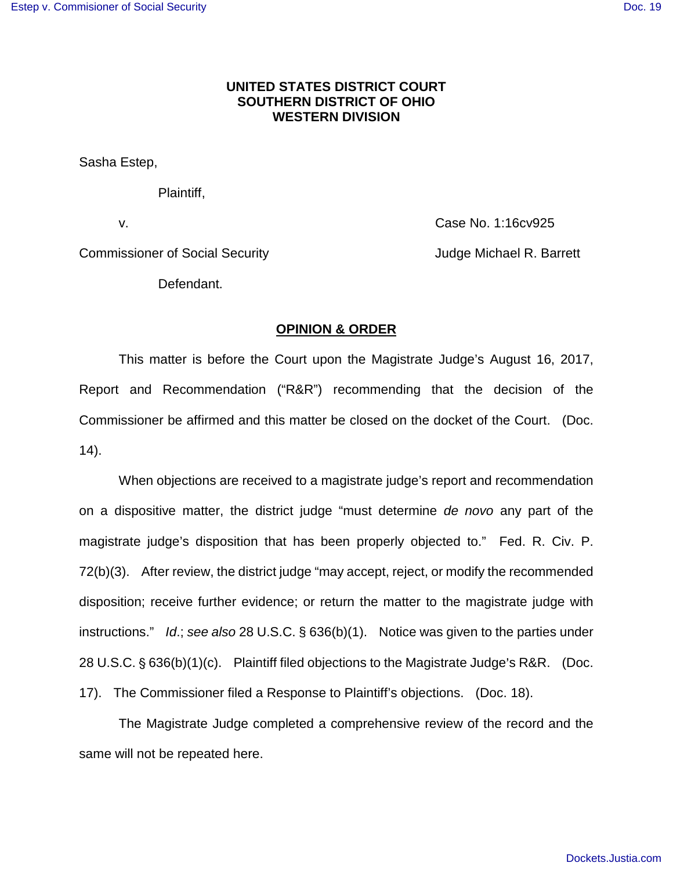# **UNITED STATES DISTRICT COURT SOUTHERN DISTRICT OF OHIO WESTERN DIVISION**

Sasha Estep,

Plaintiff,

v. Case No. 1:16cv925

Commissioner of Social Security **Commissioner of Social Security** Judge Michael R. Barrett

Defendant.

#### **OPINION & ORDER**

This matter is before the Court upon the Magistrate Judge's August 16, 2017, Report and Recommendation ("R&R") recommending that the decision of the Commissioner be affirmed and this matter be closed on the docket of the Court. (Doc. 14).

When objections are received to a magistrate judge's report and recommendation on a dispositive matter, the district judge "must determine de novo any part of the magistrate judge's disposition that has been properly objected to." Fed. R. Civ. P. 72(b)(3). After review, the district judge "may accept, reject, or modify the recommended disposition; receive further evidence; or return the matter to the magistrate judge with instructions." Id.; see also 28 U.S.C. § 636(b)(1). Notice was given to the parties under 28 U.S.C.  $\S$  636(b)(1)(c). Plaintiff filed objections to the Magistrate Judge's R&R. (Doc. 17). The Commissioner filed a Response to Plaintiff's objections. (Doc. 18).

The Magistrate Judge completed a comprehensive review of the record and the same will not be repeated here.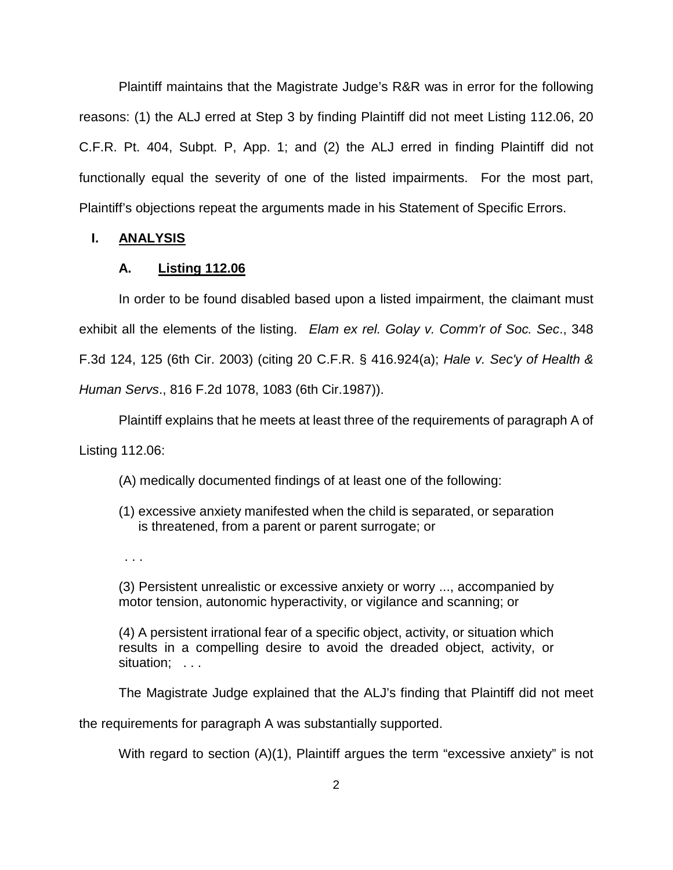Plaintiff maintains that the Magistrate Judge's R&R was in error for the following reasons: (1) the ALJ erred at Step 3 by finding Plaintiff did not meet Listing 112.06, 20 C.F.R. Pt. 404, Subpt. P, App. 1; and (2) the ALJ erred in finding Plaintiff did not functionally equal the severity of one of the listed impairments. For the most part, Plaintiff's objections repeat the arguments made in his Statement of Specific Errors.

#### **I. ANALYSIS**

### **A. Listing 112.06**

In order to be found disabled based upon a listed impairment, the claimant must exhibit all the elements of the listing. Elam ex rel. Golay v. Comm'r of Soc. Sec., 348 F.3d 124, 125 (6th Cir. 2003) (citing 20 C.F.R. § 416.924(a); Hale v. Sec'y of Health & Human Servs., 816 F.2d 1078, 1083 (6th Cir.1987)).

Plaintiff explains that he meets at least three of the requirements of paragraph A of Listing 112.06:

(A) medically documented findings of at least one of the following:

- (1) excessive anxiety manifested when the child is separated, or separation is threatened, from a parent or parent surrogate; or
- . . .

(3) Persistent unrealistic or excessive anxiety or worry ..., accompanied by motor tension, autonomic hyperactivity, or vigilance and scanning; or

(4) A persistent irrational fear of a specific object, activity, or situation which results in a compelling desire to avoid the dreaded object, activity, or situation; ...

The Magistrate Judge explained that the ALJ's finding that Plaintiff did not meet

the requirements for paragraph A was substantially supported.

With regard to section (A)(1), Plaintiff argues the term "excessive anxiety" is not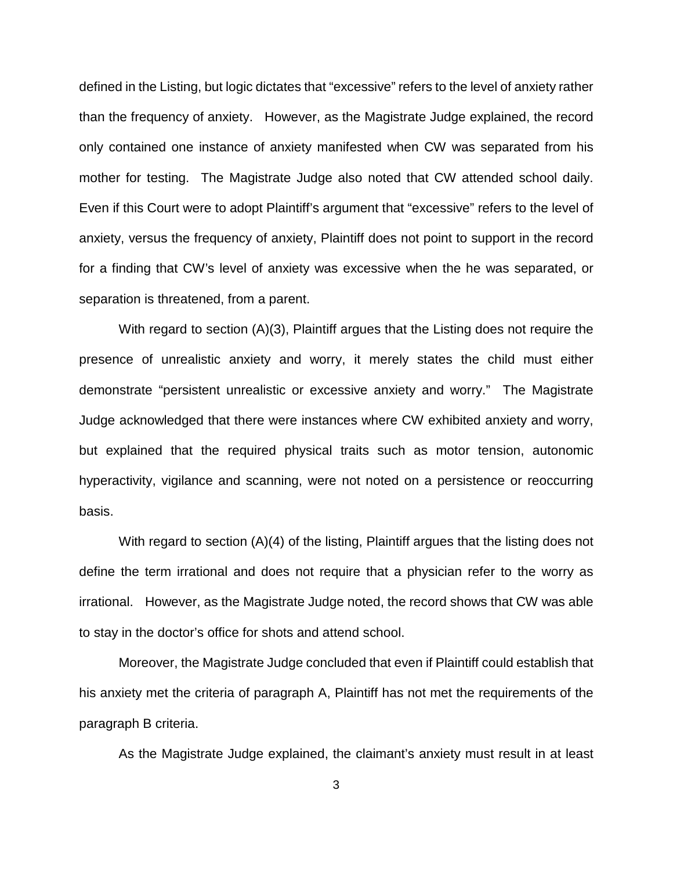defined in the Listing, but logic dictates that "excessive" refers to the level of anxiety rather than the frequency of anxiety. However, as the Magistrate Judge explained, the record only contained one instance of anxiety manifested when CW was separated from his mother for testing. The Magistrate Judge also noted that CW attended school daily. Even if this Court were to adopt Plaintiff's argument that "excessive" refers to the level of anxiety, versus the frequency of anxiety, Plaintiff does not point to support in the record for a finding that CW's level of anxiety was excessive when the he was separated, or separation is threatened, from a parent.

With regard to section (A)(3), Plaintiff argues that the Listing does not require the presence of unrealistic anxiety and worry, it merely states the child must either demonstrate "persistent unrealistic or excessive anxiety and worry." The Magistrate Judge acknowledged that there were instances where CW exhibited anxiety and worry, but explained that the required physical traits such as motor tension, autonomic hyperactivity, vigilance and scanning, were not noted on a persistence or reoccurring basis.

With regard to section (A)(4) of the listing, Plaintiff argues that the listing does not define the term irrational and does not require that a physician refer to the worry as irrational. However, as the Magistrate Judge noted, the record shows that CW was able to stay in the doctor's office for shots and attend school.

Moreover, the Magistrate Judge concluded that even if Plaintiff could establish that his anxiety met the criteria of paragraph A, Plaintiff has not met the requirements of the paragraph B criteria.

As the Magistrate Judge explained, the claimant's anxiety must result in at least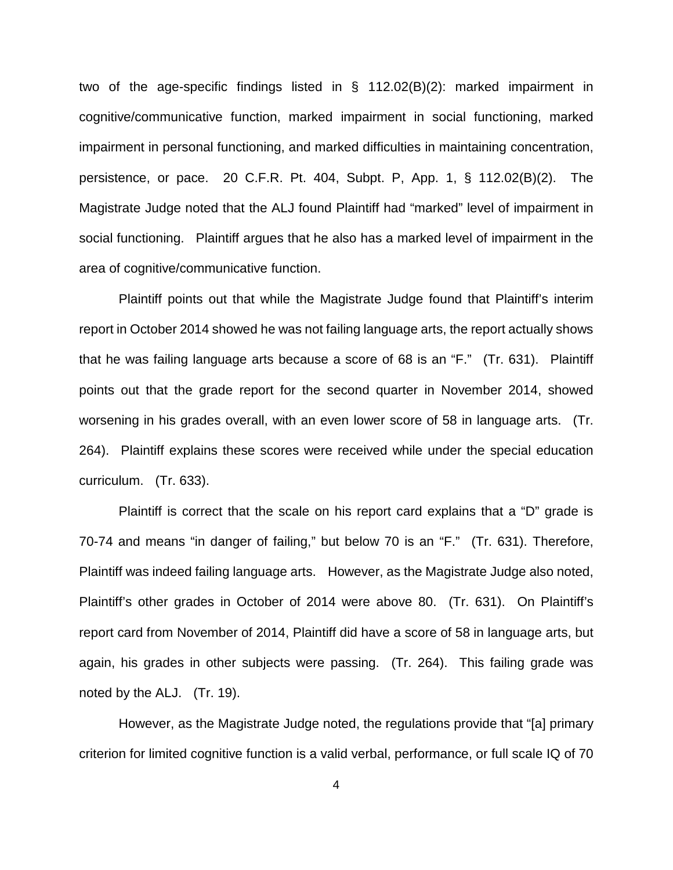two of the age-specific findings listed in § 112.02(B)(2): marked impairment in cognitive/communicative function, marked impairment in social functioning, marked impairment in personal functioning, and marked difficulties in maintaining concentration, persistence, or pace. 20 C.F.R. Pt. 404, Subpt. P, App. 1, § 112.02(B)(2). The Magistrate Judge noted that the ALJ found Plaintiff had "marked" level of impairment in social functioning. Plaintiff argues that he also has a marked level of impairment in the area of cognitive/communicative function.

Plaintiff points out that while the Magistrate Judge found that Plaintiff's interim report in October 2014 showed he was not failing language arts, the report actually shows that he was failing language arts because a score of 68 is an "F." (Tr. 631). Plaintiff points out that the grade report for the second quarter in November 2014, showed worsening in his grades overall, with an even lower score of 58 in language arts. (Tr. 264). Plaintiff explains these scores were received while under the special education curriculum. (Tr. 633).

Plaintiff is correct that the scale on his report card explains that a "D" grade is 70-74 and means "in danger of failing," but below 70 is an "F." (Tr. 631). Therefore, Plaintiff was indeed failing language arts. However, as the Magistrate Judge also noted, Plaintiff's other grades in October of 2014 were above 80. (Tr. 631). On Plaintiff's report card from November of 2014, Plaintiff did have a score of 58 in language arts, but again, his grades in other subjects were passing. (Tr. 264). This failing grade was noted by the ALJ. (Tr. 19).

However, as the Magistrate Judge noted, the regulations provide that "[a] primary criterion for limited cognitive function is a valid verbal, performance, or full scale IQ of 70

4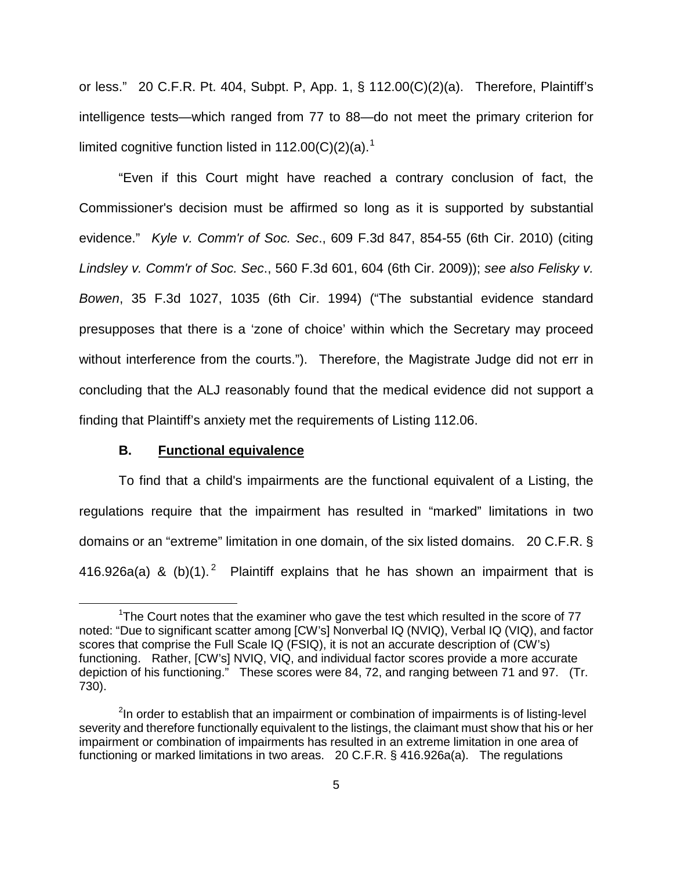or less." 20 C.F.R. Pt. 404, Subpt. P, App. 1, § 112.00(C)(2)(a). Therefore, Plaintiff's intelligence tests—which ranged from 77 to 88—do not meet the primary criterion for limited cognitive function listed in [1](#page-4-0)12.00(C)(2)(a).<sup>1</sup>

"Even if this Court might have reached a contrary conclusion of fact, the Commissioner's decision must be affirmed so long as it is supported by substantial evidence." Kyle v. Comm'r of Soc. Sec., 609 F.3d 847, 854-55 (6th Cir. 2010) (citing Lindsley v. Comm'r of Soc. Sec., 560 F.3d 601, 604 (6th Cir. 2009)); see also Felisky v. Bowen, 35 F.3d 1027, 1035 (6th Cir. 1994) ("The substantial evidence standard presupposes that there is a 'zone of choice' within which the Secretary may proceed without interference from the courts."). Therefore, the Magistrate Judge did not err in concluding that the ALJ reasonably found that the medical evidence did not support a finding that Plaintiff's anxiety met the requirements of Listing 112.06.

#### **B. Functional equivalence**

 $\overline{a}$ 

To find that a child's impairments are the functional equivalent of a Listing, the regulations require that the impairment has resulted in "marked" limitations in two domains or an "extreme" limitation in one domain, of the six listed domains. 20 C.F.R. § 416.9[2](#page-4-1)6a(a) & (b)(1).<sup>2</sup> Plaintiff explains that he has shown an impairment that is

<span id="page-4-0"></span><sup>&</sup>lt;sup>1</sup>The Court notes that the examiner who gave the test which resulted in the score of  $77$ noted: "Due to significant scatter among [CW's] Nonverbal IQ (NVIQ), Verbal IQ (VIQ), and factor scores that comprise the Full Scale IQ (FSIQ), it is not an accurate description of (CW's) functioning. Rather, [CW's] NVIQ, VIQ, and individual factor scores provide a more accurate depiction of his functioning." These scores were 84, 72, and ranging between 71 and 97. (Tr. 730).

<span id="page-4-1"></span><sup>&</sup>lt;sup>2</sup>In order to establish that an impairment or combination of impairments is of listing-level severity and therefore functionally equivalent to the listings, the claimant must show that his or her impairment or combination of impairments has resulted in an extreme limitation in one area of functioning or marked limitations in two areas. 20 C.F.R. § 416.926a(a). The regulations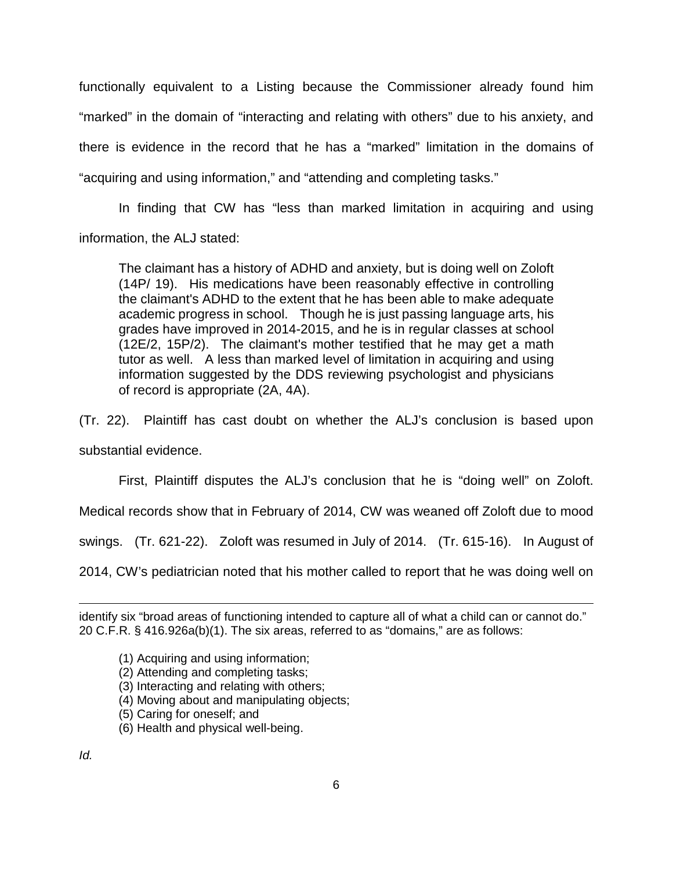functionally equivalent to a Listing because the Commissioner already found him "marked" in the domain of "interacting and relating with others" due to his anxiety, and there is evidence in the record that he has a "marked" limitation in the domains of "acquiring and using information," and "attending and completing tasks."

In finding that CW has "less than marked limitation in acquiring and using information, the ALJ stated:

The claimant has a history of ADHD and anxiety, but is doing well on Zoloft (14P/ 19). His medications have been reasonably effective in controlling the claimant's ADHD to the extent that he has been able to make adequate academic progress in school. Though he is just passing language arts, his grades have improved in 2014-2015, and he is in regular classes at school (12E/2, 15P/2). The claimant's mother testified that he may get a math tutor as well. A less than marked level of limitation in acquiring and using information suggested by the DDS reviewing psychologist and physicians of record is appropriate (2A, 4A).

(Tr. 22). Plaintiff has cast doubt on whether the ALJ's conclusion is based upon substantial evidence.

First, Plaintiff disputes the ALJ's conclusion that he is "doing well" on Zoloft.

Medical records show that in February of 2014, CW was weaned off Zoloft due to mood

swings. (Tr. 621-22). Zoloft was resumed in July of 2014. (Tr. 615-16). In August of

2014, CW's pediatrician noted that his mother called to report that he was doing well on

- (1) Acquiring and using information;
- (2) Attending and completing tasks;
- (3) Interacting and relating with others;
- (4) Moving about and manipulating objects;
- (5) Caring for oneself; and
- (6) Health and physical well-being.

identify six "broad areas of functioning intended to capture all of what a child can or cannot do." 20 C.F.R. § 416.926a(b)(1). The six areas, referred to as "domains," are as follows: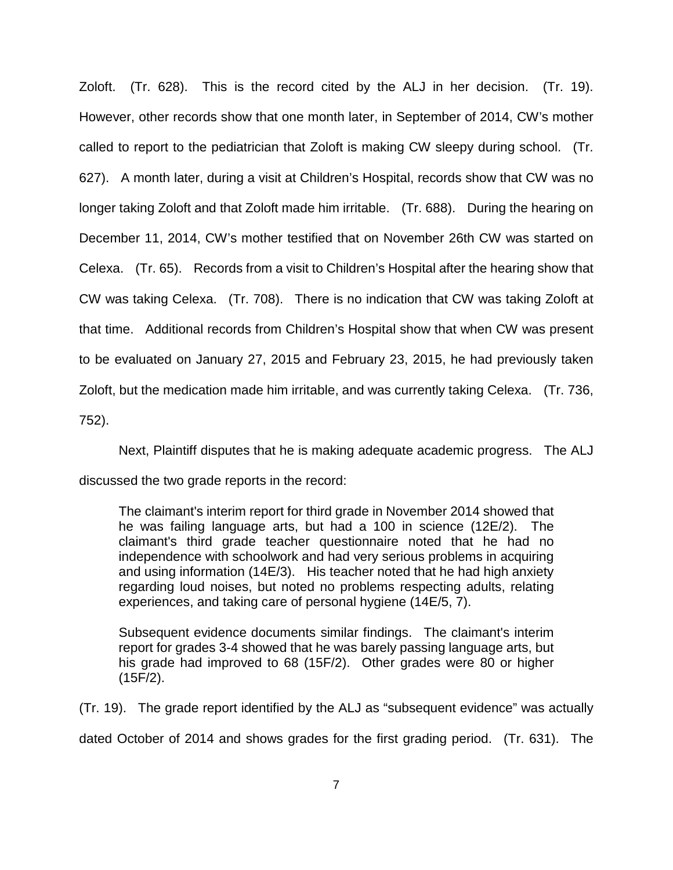Zoloft. (Tr. 628). This is the record cited by the ALJ in her decision. (Tr. 19). However, other records show that one month later, in September of 2014, CW's mother called to report to the pediatrician that Zoloft is making CW sleepy during school. (Tr. 627). A month later, during a visit at Children's Hospital, records show that CW was no longer taking Zoloft and that Zoloft made him irritable. (Tr. 688). During the hearing on December 11, 2014, CW's mother testified that on November 26th CW was started on Celexa. (Tr. 65). Records from a visit to Children's Hospital after the hearing show that CW was taking Celexa. (Tr. 708). There is no indication that CW was taking Zoloft at that time. Additional records from Children's Hospital show that when CW was present to be evaluated on January 27, 2015 and February 23, 2015, he had previously taken Zoloft, but the medication made him irritable, and was currently taking Celexa. (Tr. 736, 752).

Next, Plaintiff disputes that he is making adequate academic progress. The ALJ discussed the two grade reports in the record:

The claimant's interim report for third grade in November 2014 showed that he was failing language arts, but had a 100 in science (12E/2). The claimant's third grade teacher questionnaire noted that he had no independence with schoolwork and had very serious problems in acquiring and using information (14E/3). His teacher noted that he had high anxiety regarding loud noises, but noted no problems respecting adults, relating experiences, and taking care of personal hygiene (14E/5, 7).

Subsequent evidence documents similar findings. The claimant's interim report for grades 3-4 showed that he was barely passing language arts, but his grade had improved to 68 (15F/2). Other grades were 80 or higher (15F/2).

(Tr. 19). The grade report identified by the ALJ as "subsequent evidence" was actually dated October of 2014 and shows grades for the first grading period. (Tr. 631). The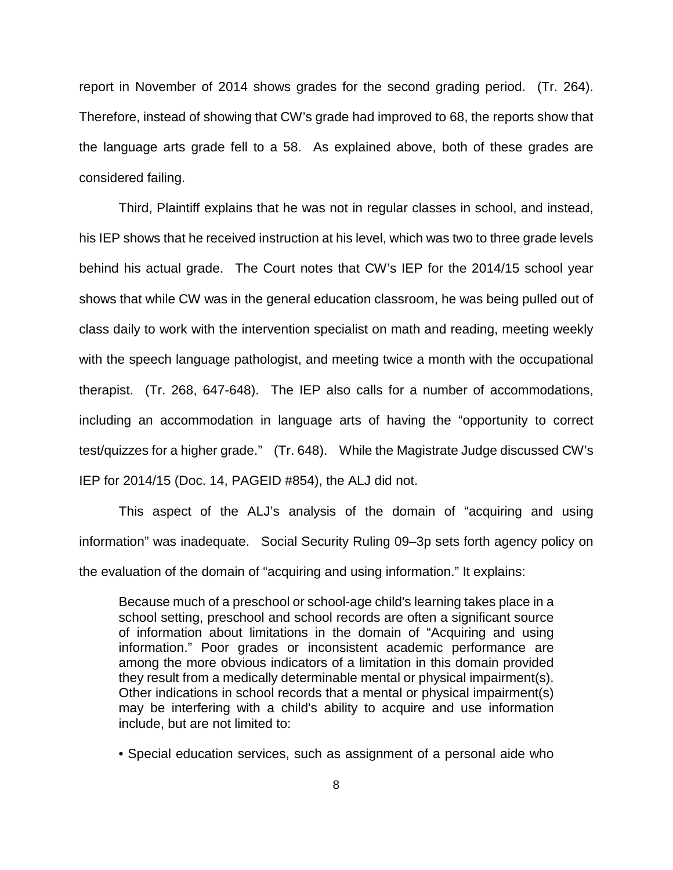report in November of 2014 shows grades for the second grading period. (Tr. 264). Therefore, instead of showing that CW's grade had improved to 68, the reports show that the language arts grade fell to a 58. As explained above, both of these grades are considered failing.

Third, Plaintiff explains that he was not in regular classes in school, and instead, his IEP shows that he received instruction at his level, which was two to three grade levels behind his actual grade. The Court notes that CW's IEP for the 2014/15 school year shows that while CW was in the general education classroom, he was being pulled out of class daily to work with the intervention specialist on math and reading, meeting weekly with the speech language pathologist, and meeting twice a month with the occupational therapist. (Tr. 268, 647-648). The IEP also calls for a number of accommodations, including an accommodation in language arts of having the "opportunity to correct test/quizzes for a higher grade." (Tr. 648). While the Magistrate Judge discussed CW's IEP for 2014/15 (Doc. 14, PAGEID #854), the ALJ did not.

This aspect of the ALJ's analysis of the domain of "acquiring and using information" was inadequate. Social Security Ruling 09–3p sets forth agency policy on the evaluation of the domain of "acquiring and using information." It explains:

Because much of a preschool or school-age child's learning takes place in a school setting, preschool and school records are often a significant source of information about limitations in the domain of "Acquiring and using information." Poor grades or inconsistent academic performance are among the more obvious indicators of a limitation in this domain provided they result from a medically determinable mental or physical impairment(s). Other indications in school records that a mental or physical impairment(s) may be interfering with a child's ability to acquire and use information include, but are not limited to:

• Special education services, such as assignment of a personal aide who

8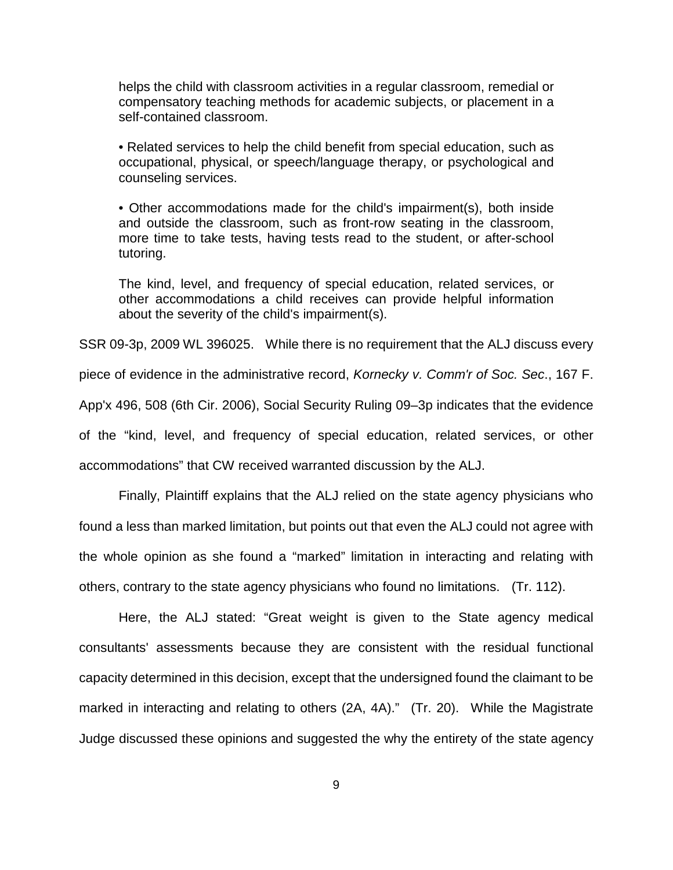helps the child with classroom activities in a regular classroom, remedial or compensatory teaching methods for academic subjects, or placement in a self-contained classroom.

• Related services to help the child benefit from special education, such as occupational, physical, or speech/language therapy, or psychological and counseling services.

• Other accommodations made for the child's impairment(s), both inside and outside the classroom, such as front-row seating in the classroom, more time to take tests, having tests read to the student, or after-school tutoring.

The kind, level, and frequency of special education, related services, or other accommodations a child receives can provide helpful information about the severity of the child's impairment(s).

SSR 09-3p, 2009 WL 396025. While there is no requirement that the ALJ discuss every piece of evidence in the administrative record, Kornecky v. Comm'r of Soc. Sec., 167 F. App'x 496, 508 (6th Cir. 2006), Social Security Ruling 09–3p indicates that the evidence of the "kind, level, and frequency of special education, related services, or other accommodations" that CW received warranted discussion by the ALJ.

Finally, Plaintiff explains that the ALJ relied on the state agency physicians who found a less than marked limitation, but points out that even the ALJ could not agree with the whole opinion as she found a "marked" limitation in interacting and relating with others, contrary to the state agency physicians who found no limitations. (Tr. 112).

Here, the ALJ stated: "Great weight is given to the State agency medical consultants' assessments because they are consistent with the residual functional capacity determined in this decision, except that the undersigned found the claimant to be marked in interacting and relating to others (2A, 4A)." (Tr. 20). While the Magistrate Judge discussed these opinions and suggested the why the entirety of the state agency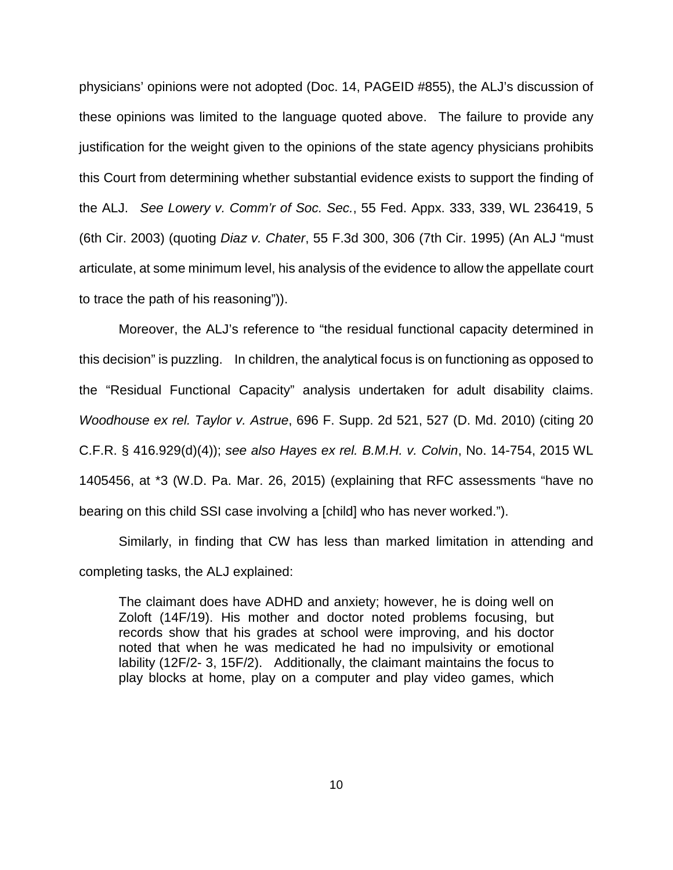physicians' opinions were not adopted (Doc. 14, PAGEID #855), the ALJ's discussion of these opinions was limited to the language quoted above. The failure to provide any justification for the weight given to the opinions of the state agency physicians prohibits this Court from determining whether substantial evidence exists to support the finding of the ALJ. See Lowery v. Comm'r of Soc. Sec., 55 Fed. Appx. 333, 339, WL 236419, 5 (6th Cir. 2003) (quoting Diaz v. Chater, 55 F.3d 300, 306 (7th Cir. 1995) (An ALJ "must articulate, at some minimum level, his analysis of the evidence to allow the appellate court to trace the path of his reasoning")).

Moreover, the ALJ's reference to "the residual functional capacity determined in this decision" is puzzling. In children, the analytical focus is on functioning as opposed to the "Residual Functional Capacity" analysis undertaken for adult disability claims. Woodhouse ex rel. Taylor v. Astrue, 696 F. Supp. 2d 521, 527 (D. Md. 2010) (citing 20 C.F.R. § 416.929(d)(4)); see also Hayes ex rel. B.M.H. v. Colvin, No. 14-754, 2015 WL 1405456, at \*3 (W.D. Pa. Mar. 26, 2015) (explaining that RFC assessments "have no bearing on this child SSI case involving a [child] who has never worked.").

Similarly, in finding that CW has less than marked limitation in attending and completing tasks, the ALJ explained:

The claimant does have ADHD and anxiety; however, he is doing well on Zoloft (14F/19). His mother and doctor noted problems focusing, but records show that his grades at school were improving, and his doctor noted that when he was medicated he had no impulsivity or emotional lability (12F/2- 3, 15F/2). Additionally, the claimant maintains the focus to play blocks at home, play on a computer and play video games, which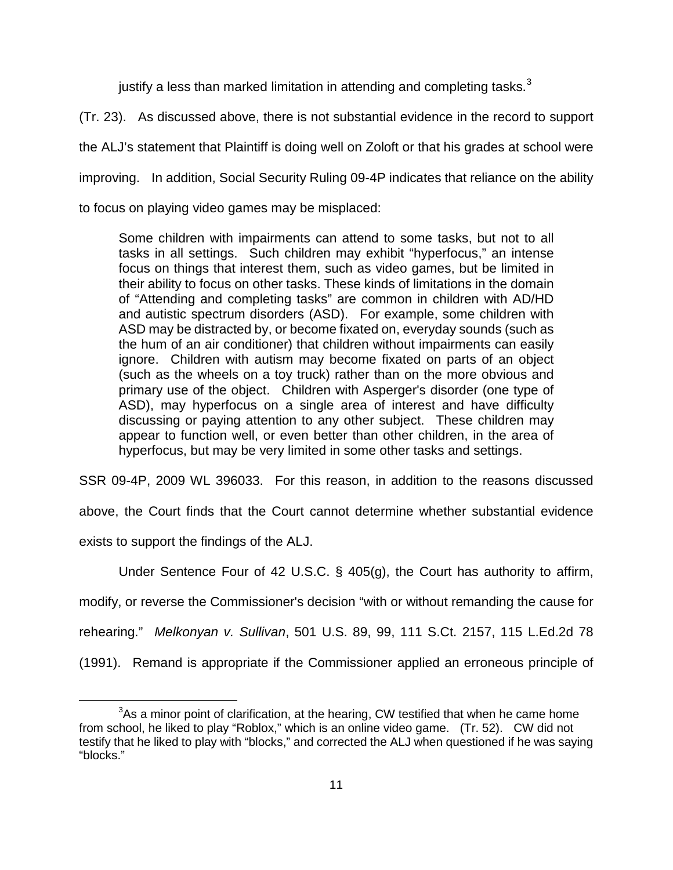justify a less than marked limitation in attending and completing tasks. $3$ 

(Tr. 23). As discussed above, there is not substantial evidence in the record to support

the ALJ's statement that Plaintiff is doing well on Zoloft or that his grades at school were

improving. In addition, Social Security Ruling 09-4P indicates that reliance on the ability

to focus on playing video games may be misplaced:

Some children with impairments can attend to some tasks, but not to all tasks in all settings. Such children may exhibit "hyperfocus," an intense focus on things that interest them, such as video games, but be limited in their ability to focus on other tasks. These kinds of limitations in the domain of "Attending and completing tasks" are common in children with AD/HD and autistic spectrum disorders (ASD). For example, some children with ASD may be distracted by, or become fixated on, everyday sounds (such as the hum of an air conditioner) that children without impairments can easily ignore. Children with autism may become fixated on parts of an object (such as the wheels on a toy truck) rather than on the more obvious and primary use of the object. Children with Asperger's disorder (one type of ASD), may hyperfocus on a single area of interest and have difficulty discussing or paying attention to any other subject. These children may appear to function well, or even better than other children, in the area of hyperfocus, but may be very limited in some other tasks and settings.

SSR 09-4P, 2009 WL 396033. For this reason, in addition to the reasons discussed

above, the Court finds that the Court cannot determine whether substantial evidence

exists to support the findings of the ALJ.

Under Sentence Four of 42 U.S.C. § 405(g), the Court has authority to affirm,

modify, or reverse the Commissioner's decision "with or without remanding the cause for

rehearing." Melkonyan v. Sullivan, 501 U.S. 89, 99, 111 S.Ct. 2157, 115 L.Ed.2d 78

(1991). Remand is appropriate if the Commissioner applied an erroneous principle of

<span id="page-10-0"></span> $\overline{a}$  $3As$  a minor point of clarification, at the hearing, CW testified that when he came home from school, he liked to play "Roblox," which is an online video game. (Tr. 52). CW did not testify that he liked to play with "blocks," and corrected the ALJ when questioned if he was saying "blocks."